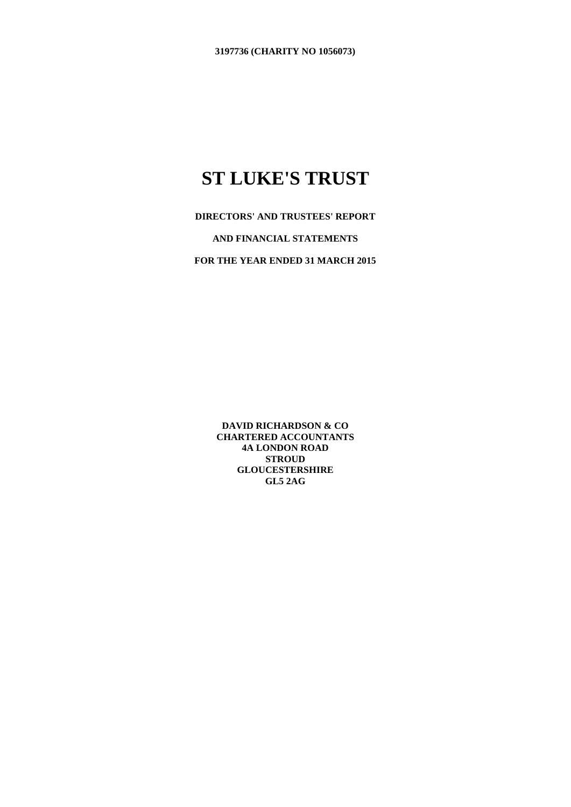**DIRECTORS' AND TRUSTEES' REPORT** 

**AND FINANCIAL STATEMENTS**

**FOR THE YEAR ENDED 31 MARCH 2015**

**DAVID RICHARDSON & CO CHARTERED ACCOUNTANTS 4A LONDON ROAD STROUD GLOUCESTERSHIRE GL5 2AG**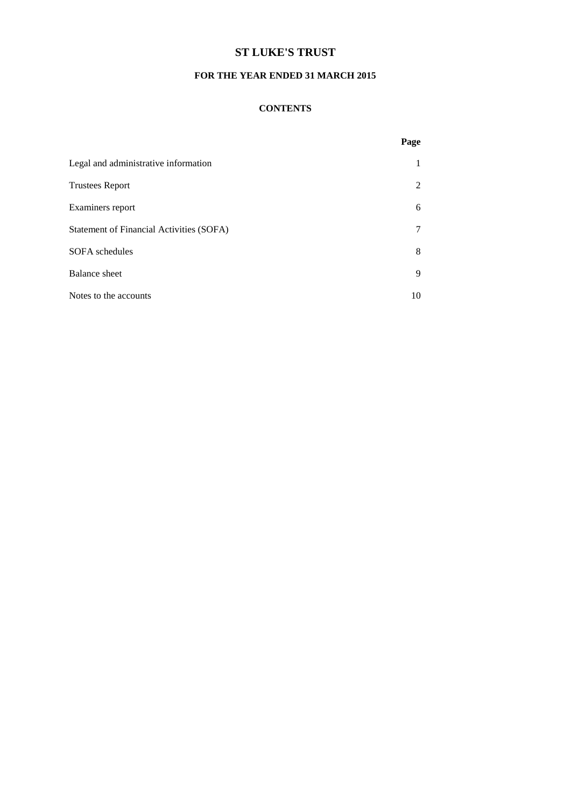### **FOR THE YEAR ENDED 31 MARCH 2015**

#### **CONTENTS**

|                                          | Page                        |
|------------------------------------------|-----------------------------|
| Legal and administrative information     |                             |
| <b>Trustees Report</b>                   | $\mathcal{D}_{\mathcal{L}}$ |
| Examiners report                         | 6                           |
| Statement of Financial Activities (SOFA) |                             |
| SOFA schedules                           | 8                           |
| <b>Balance</b> sheet                     | 9                           |
| Notes to the accounts                    | 10                          |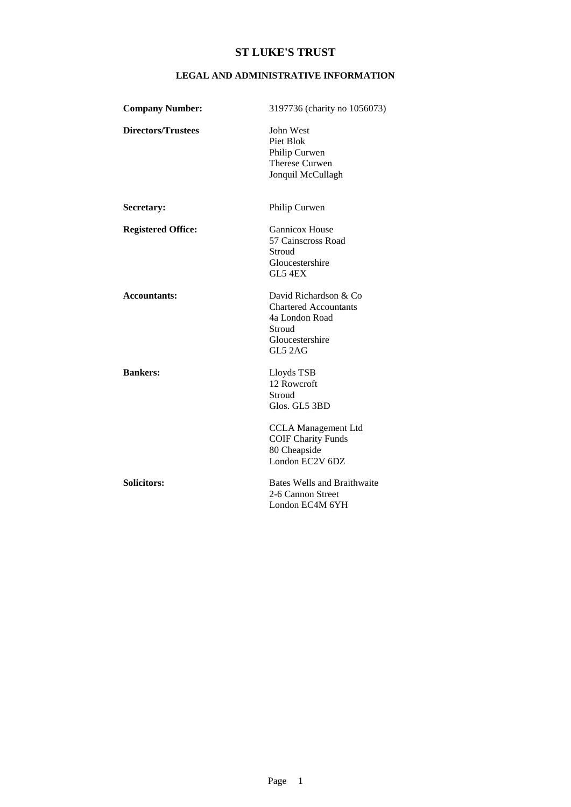### **LEGAL AND ADMINISTRATIVE INFORMATION**

| <b>Company Number:</b>    | 3197736 (charity no 1056073)                                                                                                    |
|---------------------------|---------------------------------------------------------------------------------------------------------------------------------|
| <b>Directors/Trustees</b> | John West<br>Piet Blok<br>Philip Curwen<br>Therese Curwen<br>Jonquil McCullagh                                                  |
| Secretary:                | Philip Curwen                                                                                                                   |
| <b>Registered Office:</b> | <b>Gannicox House</b><br>57 Cainscross Road<br>Stroud<br>Gloucestershire<br>GL5 4EX                                             |
| <b>Accountants:</b>       | David Richardson & Co<br><b>Chartered Accountants</b><br>4a London Road<br>Stroud<br>Gloucestershire<br>GL5 2AG                 |
| <b>Bankers:</b>           | Lloyds TSB<br>12 Rowcroft<br>Stroud<br>Glos. GL5 3BD<br><b>CCLA</b> Management Ltd<br><b>COIF Charity Funds</b><br>80 Cheapside |
|                           | London EC2V 6DZ                                                                                                                 |
| Solicitors:               | <b>Bates Wells and Braithwaite</b><br>2-6 Cannon Street<br>London EC4M 6YH                                                      |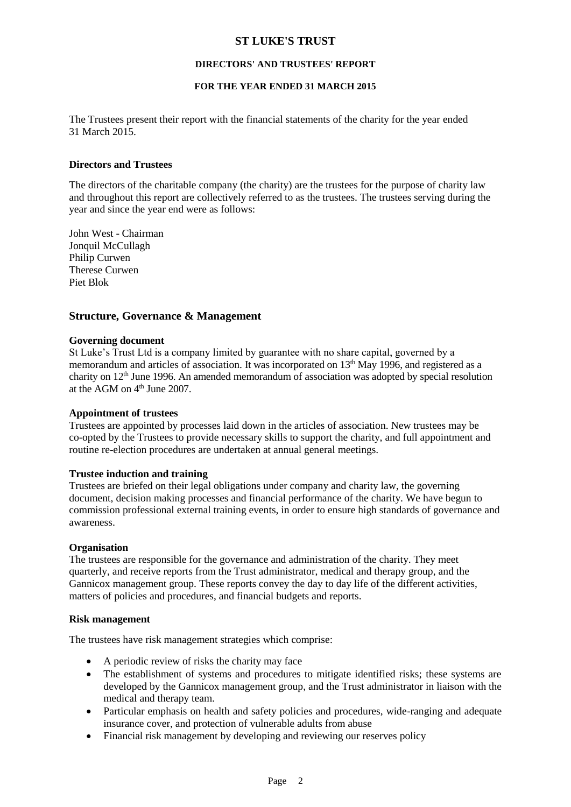#### **DIRECTORS' AND TRUSTEES' REPORT**

#### **FOR THE YEAR ENDED 31 MARCH 2015**

The Trustees present their report with the financial statements of the charity for the year ended 31 March 2015.

#### **Directors and Trustees**

The directors of the charitable company (the charity) are the trustees for the purpose of charity law and throughout this report are collectively referred to as the trustees. The trustees serving during the year and since the year end were as follows:

John West - Chairman Jonquil McCullagh Philip Curwen Therese Curwen Piet Blok

### **Structure, Governance & Management**

#### **Governing document**

St Luke's Trust Ltd is a company limited by guarantee with no share capital, governed by a memorandum and articles of association. It was incorporated on 13<sup>th</sup> May 1996, and registered as a charity on 12th June 1996. An amended memorandum of association was adopted by special resolution at the AGM on 4<sup>th</sup> June 2007.

#### **Appointment of trustees**

Trustees are appointed by processes laid down in the articles of association. New trustees may be co-opted by the Trustees to provide necessary skills to support the charity, and full appointment and routine re-election procedures are undertaken at annual general meetings.

#### **Trustee induction and training**

Trustees are briefed on their legal obligations under company and charity law, the governing document, decision making processes and financial performance of the charity. We have begun to commission professional external training events, in order to ensure high standards of governance and awareness.

#### **Organisation**

The trustees are responsible for the governance and administration of the charity. They meet quarterly, and receive reports from the Trust administrator, medical and therapy group, and the Gannicox management group. These reports convey the day to day life of the different activities, matters of policies and procedures, and financial budgets and reports.

#### **Risk management**

The trustees have risk management strategies which comprise:

- A periodic review of risks the charity may face
- The establishment of systems and procedures to mitigate identified risks; these systems are developed by the Gannicox management group, and the Trust administrator in liaison with the medical and therapy team.
- Particular emphasis on health and safety policies and procedures, wide-ranging and adequate insurance cover, and protection of vulnerable adults from abuse
- Financial risk management by developing and reviewing our reserves policy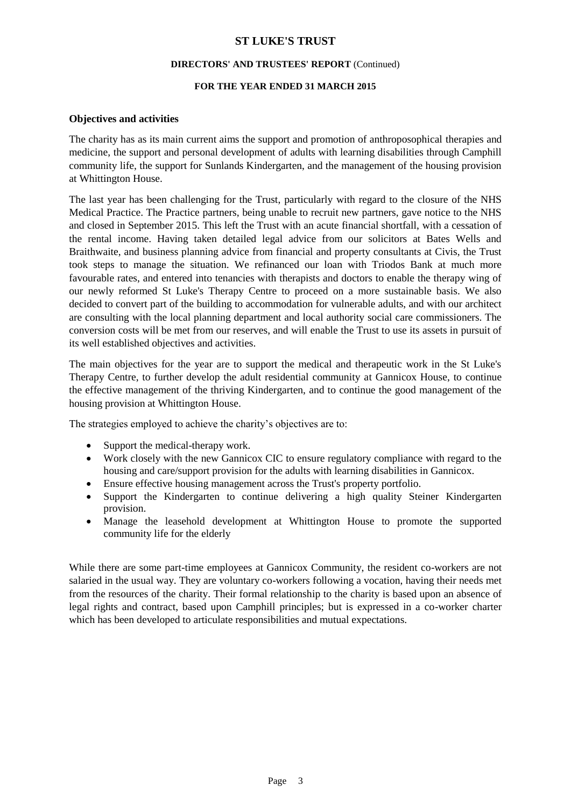#### **DIRECTORS' AND TRUSTEES' REPORT** (Continued)

#### **FOR THE YEAR ENDED 31 MARCH 2015**

### **Objectives and activities**

The charity has as its main current aims the support and promotion of anthroposophical therapies and medicine, the support and personal development of adults with learning disabilities through Camphill community life, the support for Sunlands Kindergarten, and the management of the housing provision at Whittington House.

The last year has been challenging for the Trust, particularly with regard to the closure of the NHS Medical Practice. The Practice partners, being unable to recruit new partners, gave notice to the NHS and closed in September 2015. This left the Trust with an acute financial shortfall, with a cessation of the rental income. Having taken detailed legal advice from our solicitors at Bates Wells and Braithwaite, and business planning advice from financial and property consultants at Civis, the Trust took steps to manage the situation. We refinanced our loan with Triodos Bank at much more favourable rates, and entered into tenancies with therapists and doctors to enable the therapy wing of our newly reformed St Luke's Therapy Centre to proceed on a more sustainable basis. We also decided to convert part of the building to accommodation for vulnerable adults, and with our architect are consulting with the local planning department and local authority social care commissioners. The conversion costs will be met from our reserves, and will enable the Trust to use its assets in pursuit of its well established objectives and activities.

The main objectives for the year are to support the medical and therapeutic work in the St Luke's Therapy Centre, to further develop the adult residential community at Gannicox House, to continue the effective management of the thriving Kindergarten, and to continue the good management of the housing provision at Whittington House.

The strategies employed to achieve the charity's objectives are to:

- Support the medical-therapy work.
- Work closely with the new Gannicox CIC to ensure regulatory compliance with regard to the housing and care/support provision for the adults with learning disabilities in Gannicox.
- Ensure effective housing management across the Trust's property portfolio.
- Support the Kindergarten to continue delivering a high quality Steiner Kindergarten provision.
- Manage the leasehold development at Whittington House to promote the supported community life for the elderly

While there are some part-time employees at Gannicox Community, the resident co-workers are not salaried in the usual way. They are voluntary co-workers following a vocation, having their needs met from the resources of the charity. Their formal relationship to the charity is based upon an absence of legal rights and contract, based upon Camphill principles; but is expressed in a co-worker charter which has been developed to articulate responsibilities and mutual expectations.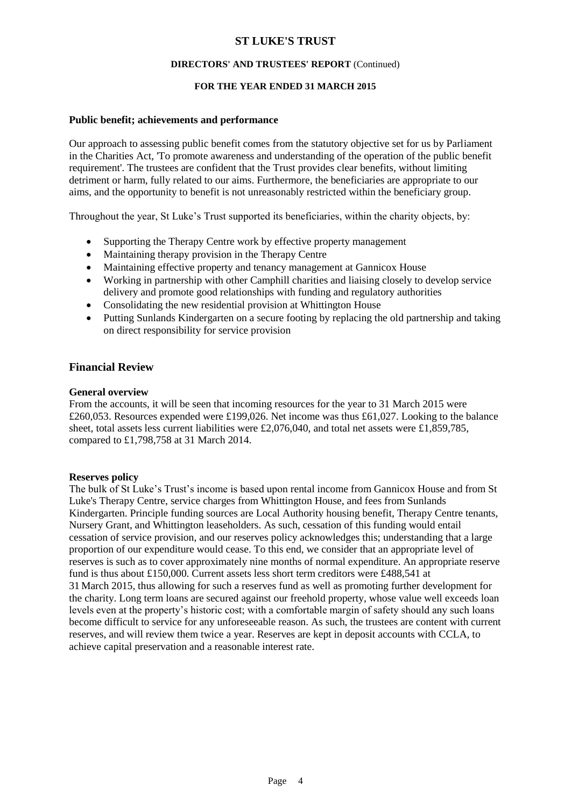#### **DIRECTORS' AND TRUSTEES' REPORT** (Continued)

### **FOR THE YEAR ENDED 31 MARCH 2015**

#### **Public benefit; achievements and performance**

Our approach to assessing public benefit comes from the statutory objective set for us by Parliament in the Charities Act, 'To promote awareness and understanding of the operation of the public benefit requirement'. The trustees are confident that the Trust provides clear benefits, without limiting detriment or harm, fully related to our aims. Furthermore, the beneficiaries are appropriate to our aims, and the opportunity to benefit is not unreasonably restricted within the beneficiary group.

Throughout the year, St Luke's Trust supported its beneficiaries, within the charity objects, by:

- Supporting the Therapy Centre work by effective property management
- Maintaining therapy provision in the Therapy Centre
- Maintaining effective property and tenancy management at Gannicox House
- Working in partnership with other Camphill charities and liaising closely to develop service delivery and promote good relationships with funding and regulatory authorities
- Consolidating the new residential provision at Whittington House
- Putting Sunlands Kindergarten on a secure footing by replacing the old partnership and taking on direct responsibility for service provision

### **Financial Review**

#### **General overview**

From the accounts, it will be seen that incoming resources for the year to 31 March 2015 were £260,053. Resources expended were £199,026. Net income was thus £61,027. Looking to the balance sheet, total assets less current liabilities were £2,076,040, and total net assets were £1,859,785, compared to £1,798,758 at 31 March 2014.

#### **Reserves policy**

The bulk of St Luke's Trust's income is based upon rental income from Gannicox House and from St Luke's Therapy Centre, service charges from Whittington House, and fees from Sunlands Kindergarten. Principle funding sources are Local Authority housing benefit, Therapy Centre tenants, Nursery Grant, and Whittington leaseholders. As such, cessation of this funding would entail cessation of service provision, and our reserves policy acknowledges this; understanding that a large proportion of our expenditure would cease. To this end, we consider that an appropriate level of reserves is such as to cover approximately nine months of normal expenditure. An appropriate reserve fund is thus about £150,000. Current assets less short term creditors were £488,541 at 31 March 2015, thus allowing for such a reserves fund as well as promoting further development for the charity. Long term loans are secured against our freehold property, whose value well exceeds loan levels even at the property's historic cost; with a comfortable margin of safety should any such loans become difficult to service for any unforeseeable reason. As such, the trustees are content with current reserves, and will review them twice a year. Reserves are kept in deposit accounts with CCLA, to achieve capital preservation and a reasonable interest rate.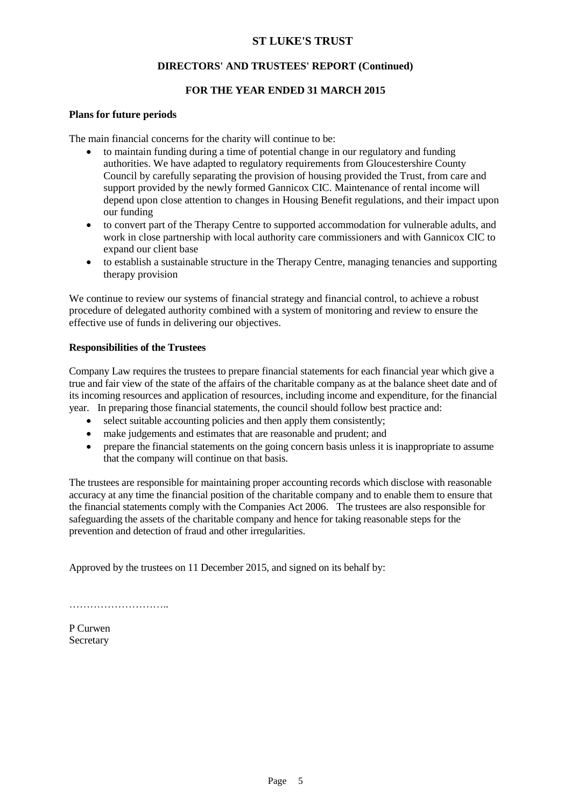### **DIRECTORS' AND TRUSTEES' REPORT (Continued)**

### **FOR THE YEAR ENDED 31 MARCH 2015**

#### **Plans for future periods**

The main financial concerns for the charity will continue to be:

- to maintain funding during a time of potential change in our regulatory and funding authorities. We have adapted to regulatory requirements from Gloucestershire County Council by carefully separating the provision of housing provided the Trust, from care and support provided by the newly formed Gannicox CIC. Maintenance of rental income will depend upon close attention to changes in Housing Benefit regulations, and their impact upon our funding
- to convert part of the Therapy Centre to supported accommodation for vulnerable adults, and work in close partnership with local authority care commissioners and with Gannicox CIC to expand our client base
- to establish a sustainable structure in the Therapy Centre, managing tenancies and supporting therapy provision

We continue to review our systems of financial strategy and financial control, to achieve a robust procedure of delegated authority combined with a system of monitoring and review to ensure the effective use of funds in delivering our objectives.

#### **Responsibilities of the Trustees**

Company Law requires the trustees to prepare financial statements for each financial year which give a true and fair view of the state of the affairs of the charitable company as at the balance sheet date and of its incoming resources and application of resources, including income and expenditure, for the financial year. In preparing those financial statements, the council should follow best practice and:

- select suitable accounting policies and then apply them consistently;
- make judgements and estimates that are reasonable and prudent; and
- prepare the financial statements on the going concern basis unless it is inappropriate to assume that the company will continue on that basis.

The trustees are responsible for maintaining proper accounting records which disclose with reasonable accuracy at any time the financial position of the charitable company and to enable them to ensure that the financial statements comply with the Companies Act 2006. The trustees are also responsible for safeguarding the assets of the charitable company and hence for taking reasonable steps for the prevention and detection of fraud and other irregularities.

Approved by the trustees on 11 December 2015, and signed on its behalf by:

………………………..

P Curwen Secretary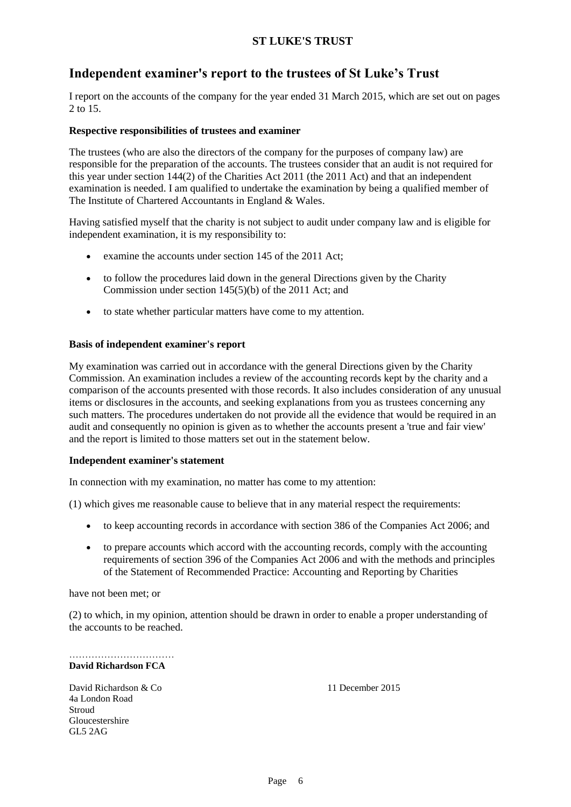## **Independent examiner's report to the trustees of St Luke's Trust**

I report on the accounts of the company for the year ended 31 March 2015, which are set out on pages 2 to 15.

### **Respective responsibilities of trustees and examiner**

The trustees (who are also the directors of the company for the purposes of company law) are responsible for the preparation of the accounts. The trustees consider that an audit is not required for this year under section 144(2) of the Charities Act 2011 (the 2011 Act) and that an independent examination is needed. I am qualified to undertake the examination by being a qualified member of The Institute of Chartered Accountants in England & Wales.

Having satisfied myself that the charity is not subject to audit under company law and is eligible for independent examination, it is my responsibility to:

- examine the accounts under section 145 of the 2011 Act;
- to follow the procedures laid down in the general Directions given by the Charity Commission under section 145(5)(b) of the 2011 Act; and
- to state whether particular matters have come to my attention.

### **Basis of independent examiner's report**

My examination was carried out in accordance with the general Directions given by the Charity Commission. An examination includes a review of the accounting records kept by the charity and a comparison of the accounts presented with those records. It also includes consideration of any unusual items or disclosures in the accounts, and seeking explanations from you as trustees concerning any such matters. The procedures undertaken do not provide all the evidence that would be required in an audit and consequently no opinion is given as to whether the accounts present a 'true and fair view' and the report is limited to those matters set out in the statement below.

### **Independent examiner's statement**

In connection with my examination, no matter has come to my attention:

(1) which gives me reasonable cause to believe that in any material respect the requirements:

- to keep accounting records in accordance with section 386 of the Companies Act 2006; and
- to prepare accounts which accord with the accounting records, comply with the accounting requirements of section 396 of the Companies Act 2006 and with the methods and principles of the Statement of Recommended Practice: Accounting and Reporting by Charities

have not been met; or

(2) to which, in my opinion, attention should be drawn in order to enable a proper understanding of the accounts to be reached.

…………………………… **David Richardson FCA**

David Richardson & Co 11 December 2015 4a London Road **Stroud** Gloucestershire GL5 2AG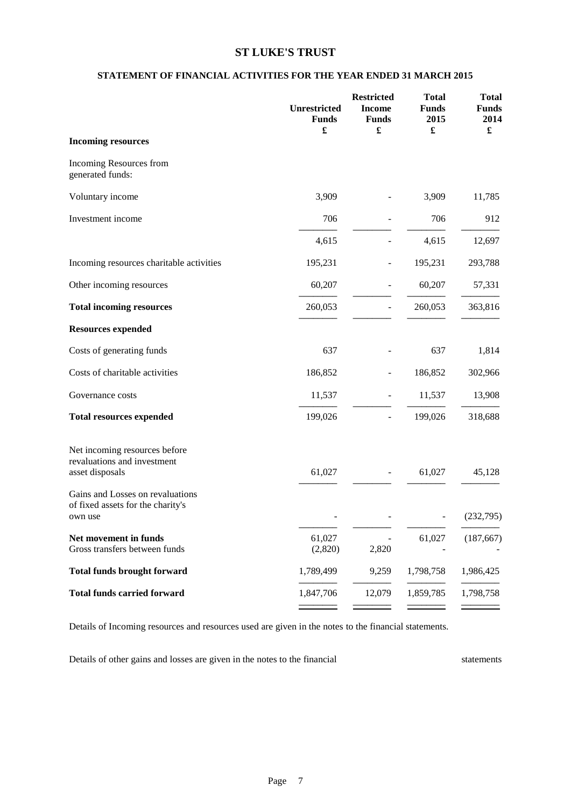### **STATEMENT OF FINANCIAL ACTIVITIES FOR THE YEAR ENDED 31 MARCH 2015**

|                                                                                  | Unrestricted<br><b>Funds</b><br>£ | <b>Restricted</b><br><b>Income</b><br><b>Funds</b><br>£ | <b>Total</b><br><b>Funds</b><br>2015<br>£ | <b>Total</b><br><b>Funds</b><br>2014<br>$\pmb{\mathfrak{L}}$ |
|----------------------------------------------------------------------------------|-----------------------------------|---------------------------------------------------------|-------------------------------------------|--------------------------------------------------------------|
| <b>Incoming resources</b>                                                        |                                   |                                                         |                                           |                                                              |
| Incoming Resources from<br>generated funds:                                      |                                   |                                                         |                                           |                                                              |
| Voluntary income                                                                 | 3,909                             |                                                         | 3,909                                     | 11,785                                                       |
| Investment income                                                                | 706                               |                                                         | 706                                       | 912                                                          |
|                                                                                  | 4,615                             |                                                         | 4,615                                     | 12,697                                                       |
| Incoming resources charitable activities                                         | 195,231                           | $\overline{a}$                                          | 195,231                                   | 293,788                                                      |
| Other incoming resources                                                         | 60,207                            |                                                         | 60,207                                    | 57,331                                                       |
| <b>Total incoming resources</b>                                                  | 260,053                           |                                                         | 260,053                                   | 363,816                                                      |
| <b>Resources expended</b>                                                        |                                   |                                                         |                                           |                                                              |
| Costs of generating funds                                                        | 637                               |                                                         | 637                                       | 1,814                                                        |
| Costs of charitable activities                                                   | 186,852                           |                                                         | 186,852                                   | 302,966                                                      |
| Governance costs                                                                 | 11,537                            | $\overline{a}$                                          | 11,537                                    | 13,908                                                       |
| <b>Total resources expended</b>                                                  | 199,026                           | -                                                       | 199,026                                   | 318,688                                                      |
| Net incoming resources before<br>revaluations and investment<br>asset disposals  | 61,027                            |                                                         | 61,027                                    | 45,128                                                       |
| Gains and Losses on revaluations<br>of fixed assets for the charity's<br>own use |                                   |                                                         |                                           | (232,795)                                                    |
| Net movement in funds<br>Gross transfers between funds                           | 61,027<br>(2,820)                 | 2,820                                                   | 61,027                                    | (187, 667)                                                   |
| <b>Total funds brought forward</b>                                               | 1,789,499                         | 9,259                                                   | 1,798,758                                 | 1,986,425                                                    |
| <b>Total funds carried forward</b>                                               | 1,847,706                         | 12,079                                                  | 1,859,785                                 | 1,798,758                                                    |
|                                                                                  |                                   |                                                         |                                           |                                                              |

Details of Incoming resources and resources used are given in the notes to the financial statements.

Details of other gains and losses are given in the notes to the financial statements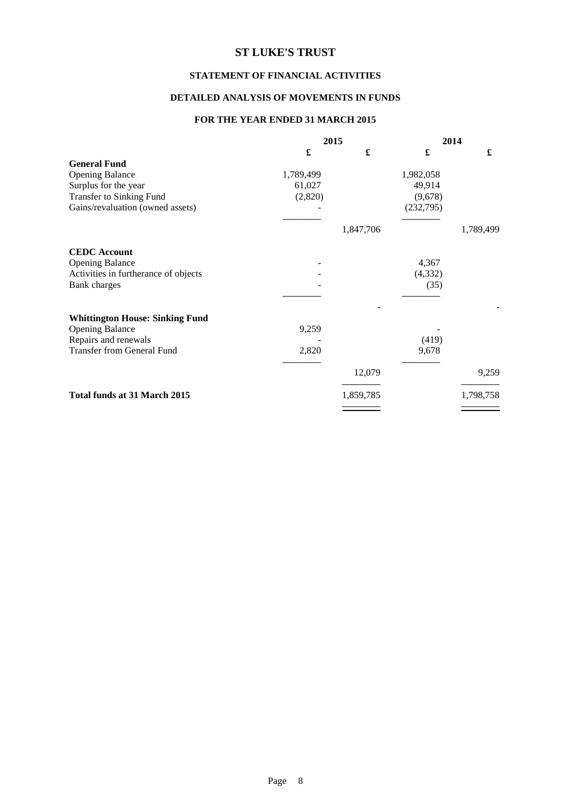### **STATEMENT OF FINANCIAL ACTIVITIES**

### **DETAILED ANALYSIS OF MOVEMENTS IN FUNDS**

### **FOR THE YEAR ENDED 31 MARCH 2015**

|                                        |           | 2015      |           | 2014      |
|----------------------------------------|-----------|-----------|-----------|-----------|
|                                        | £         | £         | £         | £         |
| <b>General Fund</b>                    |           |           |           |           |
| <b>Opening Balance</b>                 | 1,789,499 |           | 1,982,058 |           |
| Surplus for the year                   | 61,027    |           | 49,914    |           |
| <b>Transfer to Sinking Fund</b>        | (2,820)   |           | (9,678)   |           |
| Gains/revaluation (owned assets)       |           |           | (232,795) |           |
|                                        |           | 1,847,706 |           | 1,789,499 |
| <b>CEDC</b> Account                    |           |           |           |           |
| <b>Opening Balance</b>                 |           |           | 4,367     |           |
| Activities in furtherance of objects   |           |           | (4, 332)  |           |
| Bank charges                           |           |           | (35)      |           |
|                                        |           |           |           |           |
| <b>Whittington House: Sinking Fund</b> |           |           |           |           |
| <b>Opening Balance</b>                 | 9,259     |           |           |           |
| Repairs and renewals                   |           |           | (419)     |           |
| <b>Transfer from General Fund</b>      | 2,820     |           | 9,678     |           |
|                                        |           | 12,079    |           | 9,259     |
| <b>Total funds at 31 March 2015</b>    |           | 1,859,785 |           | 1,798,758 |
|                                        |           |           |           |           |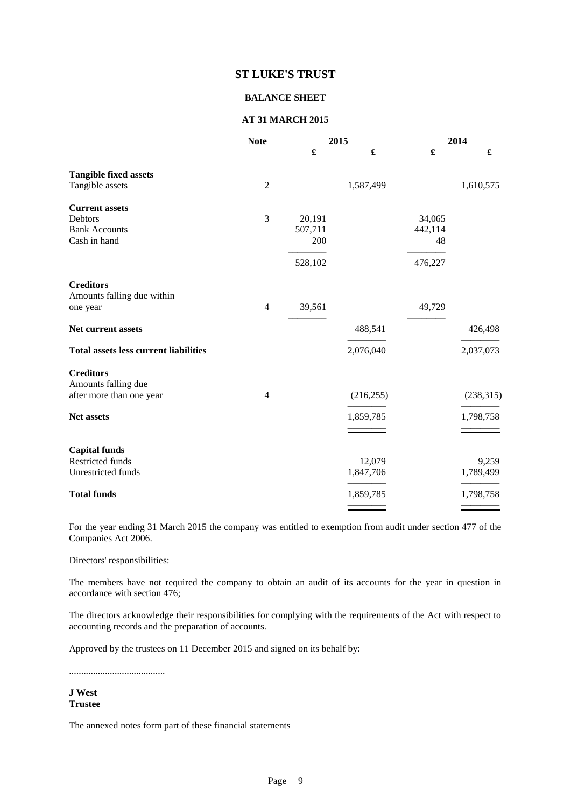#### **BALANCE SHEET**

#### **AT 31 MARCH 2015**

|                                                 | <b>Note</b>    |         | 2015       |         | 2014       |
|-------------------------------------------------|----------------|---------|------------|---------|------------|
|                                                 |                | £       | £          | £       | £          |
| <b>Tangible fixed assets</b>                    |                |         |            |         |            |
| Tangible assets                                 | $\overline{2}$ |         | 1,587,499  |         | 1,610,575  |
| <b>Current assets</b>                           |                |         |            |         |            |
| Debtors                                         | $\mathfrak{Z}$ | 20,191  |            | 34,065  |            |
| <b>Bank Accounts</b>                            |                | 507,711 |            | 442,114 |            |
| Cash in hand                                    |                | 200     |            | 48      |            |
|                                                 |                | 528,102 |            | 476,227 |            |
| <b>Creditors</b>                                |                |         |            |         |            |
| Amounts falling due within                      |                |         |            |         |            |
| one year                                        | $\overline{4}$ | 39,561  |            | 49,729  |            |
| Net current assets                              |                |         | 488,541    |         | 426,498    |
| <b>Total assets less current liabilities</b>    |                |         | 2,076,040  |         | 2,037,073  |
| <b>Creditors</b>                                |                |         |            |         |            |
| Amounts falling due<br>after more than one year | $\overline{4}$ |         | (216, 255) |         | (238, 315) |
|                                                 |                |         |            |         |            |
| Net assets                                      |                |         | 1,859,785  |         | 1,798,758  |
|                                                 |                |         |            |         |            |
| <b>Capital funds</b>                            |                |         |            |         |            |
| Restricted funds                                |                |         | 12,079     |         | 9,259      |
| Unrestricted funds                              |                |         | 1,847,706  |         | 1,789,499  |
| <b>Total funds</b>                              |                |         | 1,859,785  |         | 1,798,758  |
|                                                 |                |         |            |         |            |

For the year ending 31 March 2015 the company was entitled to exemption from audit under section 477 of the Companies Act 2006.

Directors' responsibilities:

The members have not required the company to obtain an audit of its accounts for the year in question in accordance with section 476;

The directors acknowledge their responsibilities for complying with the requirements of the Act with respect to accounting records and the preparation of accounts.

Approved by the trustees on 11 December 2015 and signed on its behalf by:

........................................

**J West Trustee**

The annexed notes form part of these financial statements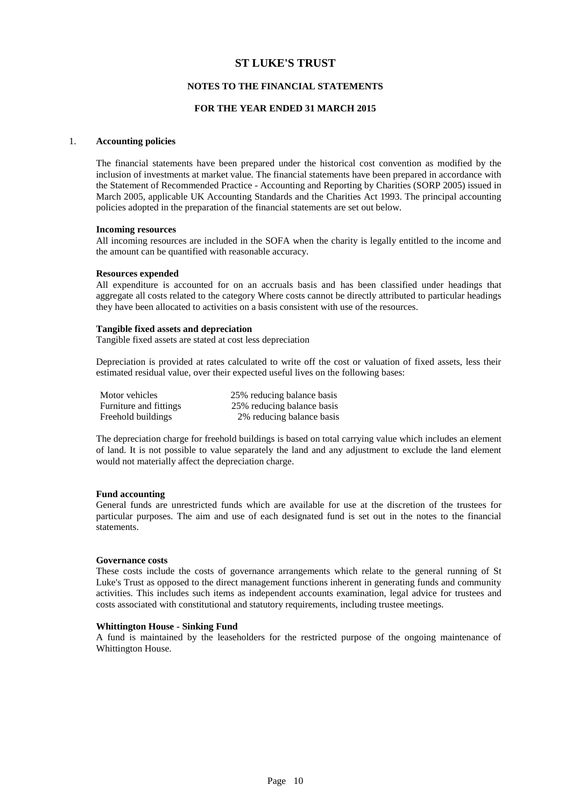#### **NOTES TO THE FINANCIAL STATEMENTS**

#### **FOR THE YEAR ENDED 31 MARCH 2015**

#### 1. **Accounting policies**

The financial statements have been prepared under the historical cost convention as modified by the inclusion of investments at market value. The financial statements have been prepared in accordance with the Statement of Recommended Practice - Accounting and Reporting by Charities (SORP 2005) issued in March 2005, applicable UK Accounting Standards and the Charities Act 1993. The principal accounting policies adopted in the preparation of the financial statements are set out below.

#### **Incoming resources**

All incoming resources are included in the SOFA when the charity is legally entitled to the income and the amount can be quantified with reasonable accuracy.

#### **Resources expended**

All expenditure is accounted for on an accruals basis and has been classified under headings that aggregate all costs related to the category Where costs cannot be directly attributed to particular headings they have been allocated to activities on a basis consistent with use of the resources.

#### **Tangible fixed assets and depreciation**

Tangible fixed assets are stated at cost less depreciation

Depreciation is provided at rates calculated to write off the cost or valuation of fixed assets, less their estimated residual value, over their expected useful lives on the following bases:

| Motor vehicles         | 25% reducing balance basis |
|------------------------|----------------------------|
| Furniture and fittings | 25% reducing balance basis |
| Freehold buildings     | 2% reducing balance basis  |

The depreciation charge for freehold buildings is based on total carrying value which includes an element of land. It is not possible to value separately the land and any adjustment to exclude the land element would not materially affect the depreciation charge.

#### **Fund accounting**

General funds are unrestricted funds which are available for use at the discretion of the trustees for particular purposes. The aim and use of each designated fund is set out in the notes to the financial statements.

#### **Governance costs**

These costs include the costs of governance arrangements which relate to the general running of St Luke's Trust as opposed to the direct management functions inherent in generating funds and community activities. This includes such items as independent accounts examination, legal advice for trustees and costs associated with constitutional and statutory requirements, including trustee meetings.

#### **Whittington House - Sinking Fund**

A fund is maintained by the leaseholders for the restricted purpose of the ongoing maintenance of Whittington House.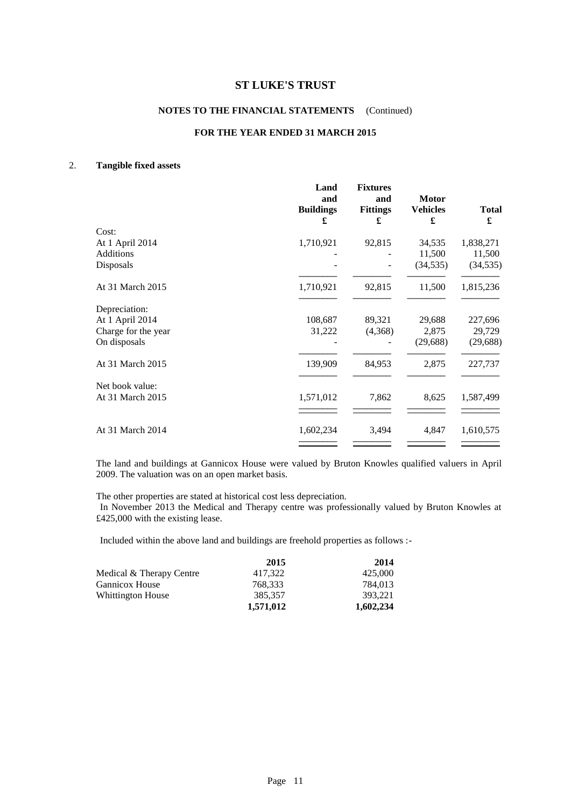### **NOTES TO THE FINANCIAL STATEMENTS** (Continued)

#### **FOR THE YEAR ENDED 31 MARCH 2015**

#### 2. **Tangible fixed assets**

|                               | Land<br>and<br><b>Buildings</b><br>£ | <b>Fixtures</b><br>and<br><b>Fittings</b><br>£ | <b>Motor</b><br><b>Vehicles</b><br>£ | <b>Total</b><br>£   |
|-------------------------------|--------------------------------------|------------------------------------------------|--------------------------------------|---------------------|
| Cost:                         |                                      |                                                |                                      |                     |
| At 1 April 2014               | 1,710,921                            | 92,815                                         | 34,535                               | 1,838,271           |
| <b>Additions</b><br>Disposals |                                      |                                                | 11,500<br>(34, 535)                  | 11,500<br>(34, 535) |
|                               |                                      |                                                |                                      |                     |
| At 31 March 2015              | 1,710,921                            | 92,815                                         | 11,500                               | 1,815,236           |
| Depreciation:                 |                                      |                                                |                                      |                     |
| At 1 April 2014               | 108,687                              | 89,321                                         | 29,688                               | 227,696             |
| Charge for the year           | 31,222                               | (4,368)                                        | 2,875                                | 29,729              |
| On disposals                  |                                      |                                                | (29, 688)                            | (29, 688)           |
| At 31 March 2015              | 139,909                              | 84,953                                         | 2,875                                | 227,737             |
| Net book value:               |                                      |                                                |                                      |                     |
| At 31 March 2015              | 1,571,012                            | 7,862                                          | 8,625                                | 1,587,499           |
|                               |                                      |                                                |                                      |                     |
| At 31 March 2014              | 1,602,234                            | 3,494                                          | 4,847                                | 1,610,575           |
|                               |                                      |                                                |                                      |                     |

The land and buildings at Gannicox House were valued by Bruton Knowles qualified valuers in April 2009. The valuation was on an open market basis.

The other properties are stated at historical cost less depreciation.

In November 2013 the Medical and Therapy centre was professionally valued by Bruton Knowles at £425,000 with the existing lease.

Included within the above land and buildings are freehold properties as follows :-

|                          | 2015      | 2014      |
|--------------------------|-----------|-----------|
| Medical & Therapy Centre | 417.322   | 425,000   |
| <b>Gannicox House</b>    | 768.333   | 784,013   |
| <b>Whittington House</b> | 385.357   | 393.221   |
|                          | 1,571,012 | 1,602,234 |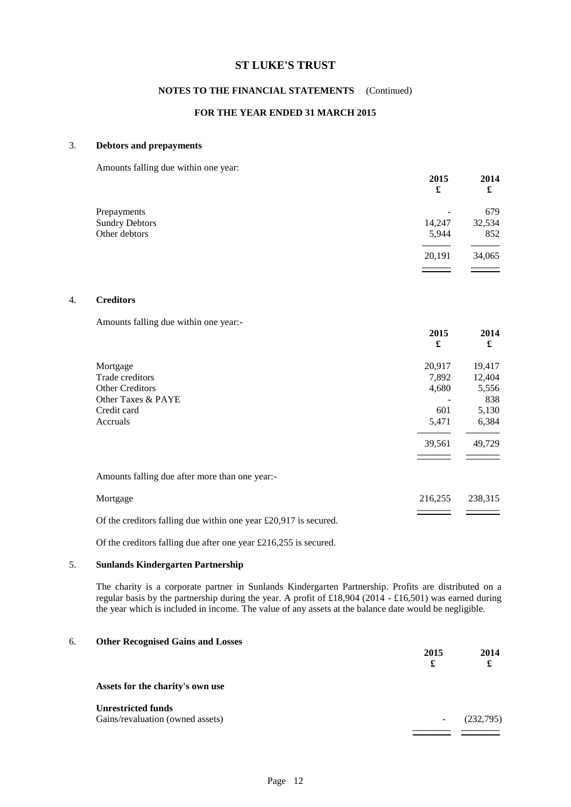#### **NOTES TO THE FINANCIAL STATEMENTS** (Continued)

### **FOR THE YEAR ENDED 31 MARCH 2015**

#### 3. **Debtors and prepayments**

Amounts falling due within one year:

|                       | 2015<br>£ | 2014<br>£ |
|-----------------------|-----------|-----------|
| Prepayments           | -         | 679       |
| <b>Sundry Debtors</b> | 14,247    | 32,534    |
| Other debtors         | 5,944     | 852       |
|                       | 20,191    | 34,065    |
|                       |           |           |

#### 4. **Creditors**

Amounts falling due within one year:-

|                                                                    | 2015<br>£ | 2014<br>£ |
|--------------------------------------------------------------------|-----------|-----------|
| Mortgage                                                           | 20,917    | 19,417    |
| Trade creditors                                                    | 7,892     | 12,404    |
| <b>Other Creditors</b>                                             | 4,680     | 5,556     |
| Other Taxes & PAYE                                                 |           | 838       |
| Credit card                                                        | 601       | 5,130     |
| Accruals                                                           | 5,471     | 6,384     |
|                                                                    | 39,561    | 49,729    |
| Amounts falling due after more than one year:-                     |           |           |
| Mortgage                                                           | 216,255   | 238,315   |
| Of the creditors falling due within one year $£20,917$ is secured. |           |           |

Of the creditors falling due after one year £216,255 is secured.

#### 5. **Sunlands Kindergarten Partnership**

The charity is a corporate partner in Sunlands Kindergarten Partnership. Profits are distributed on a regular basis by the partnership during the year. A profit of £18,904 (2014 - £16,501) was earned during the year which is included in income. The value of any assets at the balance date would be negligible.

| б. | <b>Other Recognised Gains and Losses</b> | 2015<br>£                | 2014<br>£ |
|----|------------------------------------------|--------------------------|-----------|
|    | Assets for the charity's own use         |                          |           |
|    | <b>Unrestricted funds</b>                |                          |           |
|    | Gains/revaluation (owned assets)         | $\overline{\phantom{a}}$ | (232,795) |
|    |                                          |                          |           |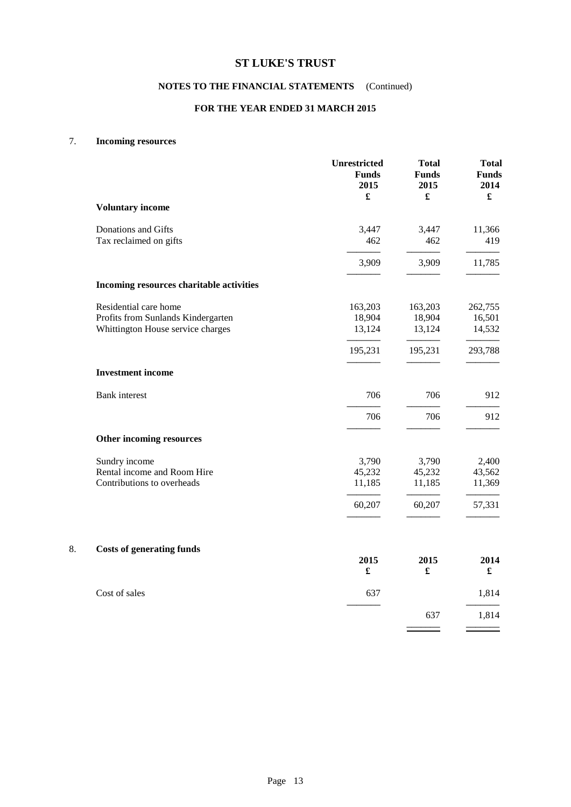### **NOTES TO THE FINANCIAL STATEMENTS** (Continued)

#### **FOR THE YEAR ENDED 31 MARCH 2015**

#### 7. **Incoming resources**

|                                          | <b>Unrestricted</b><br><b>Funds</b><br>2015<br>£ | <b>Total</b><br><b>Funds</b><br>2015<br>$\pmb{\mathfrak{L}}$ | <b>Total</b><br><b>Funds</b><br>2014<br>$\pmb{\mathfrak{L}}$ |
|------------------------------------------|--------------------------------------------------|--------------------------------------------------------------|--------------------------------------------------------------|
| <b>Voluntary income</b>                  |                                                  |                                                              |                                                              |
| Donations and Gifts                      | 3,447                                            | 3,447                                                        | 11,366                                                       |
| Tax reclaimed on gifts                   | 462                                              | 462                                                          | 419                                                          |
|                                          | 3,909                                            | 3,909                                                        | 11,785                                                       |
| Incoming resources charitable activities |                                                  |                                                              |                                                              |
| Residential care home                    | 163,203                                          | 163,203                                                      | 262,755                                                      |
| Profits from Sunlands Kindergarten       | 18,904                                           | 18,904                                                       | 16,501                                                       |
| Whittington House service charges        | 13,124                                           | 13,124                                                       | 14,532                                                       |
|                                          | 195,231                                          | 195,231                                                      | 293,788                                                      |
| <b>Investment income</b>                 |                                                  |                                                              |                                                              |
| Bank interest                            | 706                                              | 706                                                          | 912                                                          |
|                                          | 706                                              | 706                                                          | 912                                                          |
| Other incoming resources                 |                                                  |                                                              |                                                              |
| Sundry income                            | 3,790                                            | 3,790                                                        | 2,400                                                        |
| Rental income and Room Hire              | 45,232                                           | 45,232                                                       | 43,562                                                       |
| Contributions to overheads               | 11,185                                           | 11,185                                                       | 11,369                                                       |
|                                          | 60,207                                           | 60,207                                                       | 57,331                                                       |
| Costs of generating funds                |                                                  |                                                              |                                                              |

### 8. **Costs of generating funds**

| $5 - 5 - 8 - 10 - 10 - 8 - 10 - 10$ | 2015<br>£ | 2015<br>£ | 2014<br>£ |
|-------------------------------------|-----------|-----------|-----------|
| Cost of sales                       | 637       |           | 1,814     |
|                                     |           | 637       | 1,814     |
|                                     |           |           |           |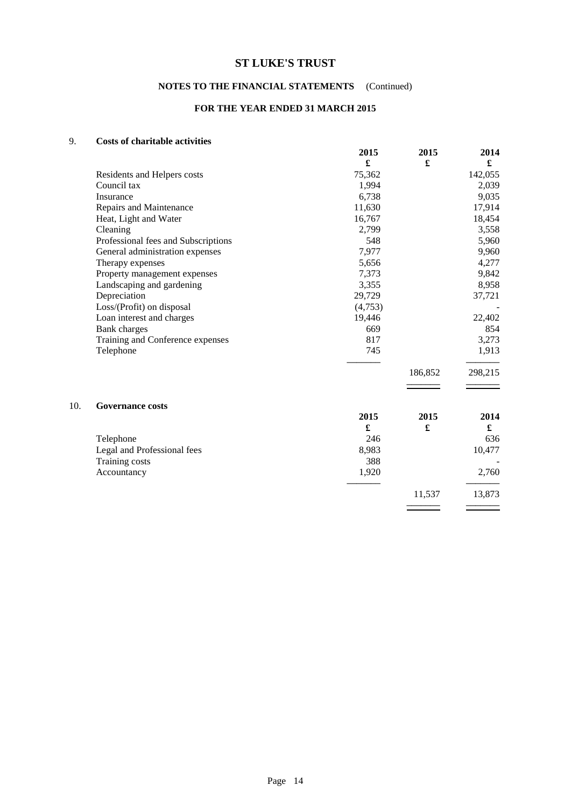### **NOTES TO THE FINANCIAL STATEMENTS** (Continued)

### **FOR THE YEAR ENDED 31 MARCH 2015**

### 9. **Costs of charitable activities**

|     |                                     | 2015    | 2015                 | 2014    |
|-----|-------------------------------------|---------|----------------------|---------|
|     |                                     | £       | $\pmb{\mathfrak{L}}$ | £       |
|     | Residents and Helpers costs         | 75,362  |                      | 142,055 |
|     | Council tax                         | 1,994   |                      | 2,039   |
|     | Insurance                           | 6,738   |                      | 9,035   |
|     | Repairs and Maintenance             | 11,630  |                      | 17,914  |
|     | Heat, Light and Water               | 16,767  |                      | 18,454  |
|     | Cleaning                            | 2,799   |                      | 3,558   |
|     | Professional fees and Subscriptions | 548     |                      | 5,960   |
|     | General administration expenses     | 7,977   |                      | 9,960   |
|     | Therapy expenses                    | 5,656   |                      | 4,277   |
|     | Property management expenses        | 7,373   |                      | 9,842   |
|     | Landscaping and gardening           | 3,355   |                      | 8,958   |
|     | Depreciation                        | 29,729  |                      | 37,721  |
|     | Loss/(Profit) on disposal           | (4,753) |                      |         |
|     | Loan interest and charges           | 19,446  |                      | 22,402  |
|     | <b>Bank</b> charges                 | 669     |                      | 854     |
|     | Training and Conference expenses    | 817     |                      | 3,273   |
|     | Telephone                           | 745     |                      | 1,913   |
|     |                                     |         | 186,852              | 298,215 |
|     |                                     |         |                      |         |
| 10. | <b>Governance costs</b>             |         |                      |         |
|     |                                     | 2015    | 2015                 | 2014    |
|     |                                     | £       | £                    | £       |
|     | Telephone                           | 246     |                      | 636     |
|     | Legal and Professional fees         | 8,983   |                      | 10,477  |
|     | Training costs                      | 388     |                      |         |
|     | Accountancy                         | 1,920   |                      | 2,760   |
|     |                                     |         | 11,537               | 13,873  |
|     |                                     |         |                      |         |